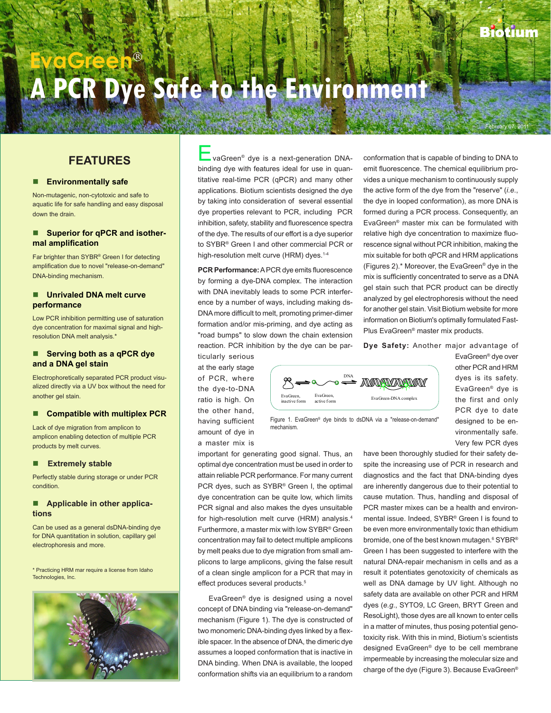$r$ ruary 07, 2011

# **EvaGreen A PCR Dye Safe to the Environment**

## **FEATURES**

#### **Environmentally safe**

Non-mutagenic, non-cytotoxic and safe to aquatic life for safe handling and easy disposal down the drain.

### ■ Superior for qPCR and isother**mal amplification**

Far brighter than SYBR<sup>®</sup> Green I for detecting amplification due to novel "release-on-demand" DNA-binding mechanism.

#### **Unrivaled DNA melt curve performance**

Low PCR inhibition permitting use of saturation dye concentration for maximal signal and highresolution DNA melt analysis.\*

#### **Serving both as a qPCR dye and a DNA gel stain**

Electrophoretically separated PCR product visualized directly via a UV box without the need for another gel stain.

#### ■ Compatible with multiplex PCR

Lack of dye migration from amplicon to amplicon enabling detection of multiple PCR products by melt curves.

#### **Extremely stable**

Perfectly stable during storage or under PCR condition.

#### **Applicable in other applications**

Can be used as a general dsDNA-binding dye for DNA quantitation in solution, capillary gel electrophoresis and more.

\* Practicing HRM mar require a license from Idaho Technologies, Inc.



vaGreen<sup>®</sup> dye is a next-generation DNAbinding dye with features ideal for use in quantitative real-time PCR (qPCR) and many other applications. Biotium scientists designed the dye by taking into consideration of several essential dye properties relevant to PCR, including PCR inhibition, safety, stability and fluorescence spectra of the dye. The results of our effort is a dye superior to SYBR® Green I and other commercial PCR or high-resolution melt curve (HRM) dyes.<sup>1-4</sup>

**PCR Performance:** A PCR dye emits fluorescence by forming a dye-DNA complex. The interaction with DNA inevitably leads to some PCR interference by a number of ways, including making ds-DNA more difficult to melt, promoting primer-dimer formation and/or mis-priming, and dye acting as "road bumps" to slow down the chain extension reaction. PCR inhibition by the dye can be par-

ticularly serious at the early stage of PCR, where the dye-to-DNA ratio is high. On the other hand, having sufficient amount of dye in a master mix is



Figure 1. EvaGreen® dye binds to dsDNA via a "release-on-demand" mechanism.

important for generating good signal. Thus, an optimal dye concentration must be used in order to attain reliable PCR performance. For many current PCR dyes, such as SYBR® Green I, the optimal dye concentration can be quite low, which limits PCR signal and also makes the dyes unsuitable for high-resolution melt curve (HRM) analysis.<sup>4</sup> Furthermore, a master mix with low SYBR® Green concentration may fail to detect multiple amplicons by melt peaks due to dye migration from small amplicons to large amplicons, giving the false result of a clean single amplicon for a PCR that may in effect produces several products.<sup>5</sup>

EvaGreen® dye is designed using a novel concept of DNA binding via "release-on-demand" mechanism (Figure 1). The dye is constructed of two monomeric DNA-binding dyes linked by a flexible spacer. In the absence of DNA, the dimeric dye assumes a looped conformation that is inactive in DNA binding. When DNA is available, the looped conformation shifts via an equilibrium to a random conformation that is capable of binding to DNA to emit fluorescence. The chemical equilibrium provides a unique mechanism to continuously supply the active form of the dye from the "reserve" (*i.e*., the dye in looped conformation), as more DNA is formed during a PCR process. Consequently, an EvaGreen® master mix can be formulated with relative high dye concentration to maximize fluorescence signal without PCR inhibition, making the mix suitable for both qPCR and HRM applications (Figures 2).\* Moreover, the EvaGreen® dye in the mix is sufficiently concentrated to serve as a DNA gel stain such that PCR product can be directly analyzed by gel electrophoresis without the need for another gel stain. Visit Biotium website for more information on Biotium's optimally formulated Fast-Plus EvaGreen® master mix products.

**Dye Safety:** Another major advantage of

EvaGreen® dye over other PCR and HRM dyes is its safety. EvaGreen® dye is the first and only PCR dye to date designed to be environmentally safe. Very few PCR dyes

have been thoroughly studied for their safety despite the increasing use of PCR in research and diagnostics and the fact that DNA-binding dyes are inherently dangerous due to their potential to cause mutation. Thus, handling and disposal of PCR master mixes can be a health and environmental issue. Indeed, SYBR® Green I is found to be even more environmentally toxic than ethidium bromide, one of the best known mutagen. $^{\rm 6}$  SYBR® Green I has been suggested to interfere with the natural DNA-repair mechanism in cells and as a result it potentiates genotoxicity of chemicals as well as DNA damage by UV light. Although no safety data are available on other PCR and HRM dyes (*e.g*., SYTO9, LC Green, BRYT Green and ResoLight), those dyes are all known to enter cells in a matter of minutes, thus posing potential genotoxicity risk. With this in mind, Biotium's scientists designed EvaGreen® dye to be cell membrane impermeable by increasing the molecular size and charge of the dye (Figure 3). Because EvaGreen®